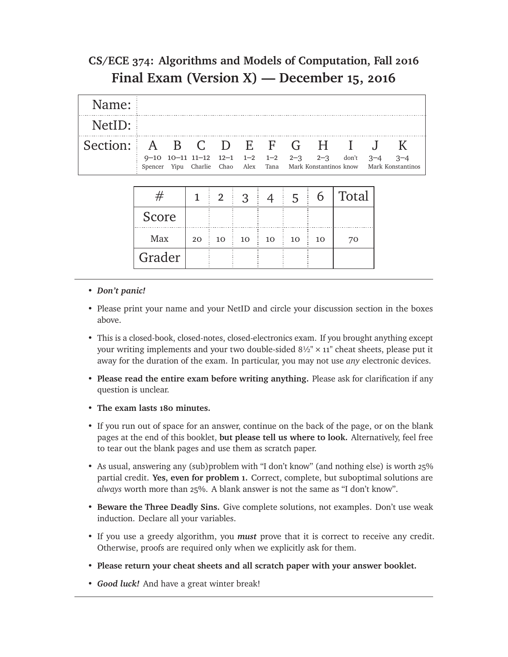## **CS/ECE 374: Algorithms and Models of Computation, Fall 2016 Final Exam (Version X) — December 15, 2016**

| Name:    |                                                                                                                                       |              |                |              |      |                |    |       |         |         |
|----------|---------------------------------------------------------------------------------------------------------------------------------------|--------------|----------------|--------------|------|----------------|----|-------|---------|---------|
| NetID:   |                                                                                                                                       |              |                |              |      |                |    |       |         |         |
| Section: | A B C D E F G H I J                                                                                                                   |              |                |              |      |                |    |       |         | K       |
|          | $9-10$ $10-11$ $11-12$ $12-1$ $1-2$ $1-2$ $2-3$ $2-3$<br>Spencer Yipu Charlie Chao Alex Tana Mark Konstantinos know Mark Konstantinos |              |                |              |      |                |    | don't | $3 - 4$ | $3 - 4$ |
|          |                                                                                                                                       |              |                |              |      |                |    |       |         |         |
|          | $^{\#}$                                                                                                                               | $\mathbf{1}$ | $\overline{2}$ | $\mathbf{3}$ | $-4$ | 5 <sup>5</sup> | 6  | Total |         |         |
|          | Score                                                                                                                                 |              |                |              |      |                |    |       |         |         |
|          | Max                                                                                                                                   | 20           | 10             | 10           | 10   | 10             | 10 | 70    |         |         |
|          | Grader                                                                                                                                |              |                |              |      |                |    |       |         |         |

## • *Don't panic!*

- Please print your name and your NetID and circle your discussion section in the boxes above.
- This is a closed-book, closed-notes, closed-electronics exam. If you brought anything except your writing implements and your two double-sided  $8\frac{1}{2}$  × 11" cheat sheets, please put it away for the duration of the exam. In particular, you may not use *any* electronic devices.
- **Please read the entire exam before writing anything.** Please ask for clarification if any question is unclear.
- **The exam lasts 180 minutes.**
- If you run out of space for an answer, continue on the back of the page, or on the blank pages at the end of this booklet, **but please tell us where to look.** Alternatively, feel free to tear out the blank pages and use them as scratch paper.
- As usual, answering any (sub)problem with "I don't know" (and nothing else) is worth 25% partial credit. **Yes, even for problem 1.** Correct, complete, but suboptimal solutions are *always* worth more than 25%. A blank answer is not the same as "I don't know".
- **Beware the Three Deadly Sins.** Give complete solutions, not examples. Don't use weak induction. Declare all your variables.
- If you use a greedy algorithm, you *must* prove that it is correct to receive any credit. Otherwise, proofs are required only when we explicitly ask for them.
- **Please return your cheat sheets and all scratch paper with your answer booklet.**
- *Good luck!* And have a great winter break!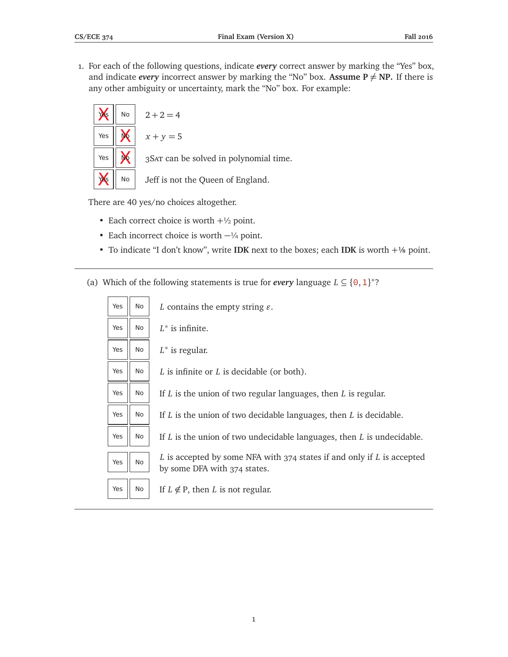1. For each of the following questions, indicate *every* correct answer by marking the "Yes" box, and indicate *every* incorrect answer by marking the "No" box. Assume  $P \neq NP$ . If there is any other ambiguity or uncertainty, mark the "No" box. For example:

| W   | No | $2 + 2 = 4$                               |
|-----|----|-------------------------------------------|
| Yes | W  | $x + y = 5$                               |
| Yes | W  | $3$ SAT can be solved in polynomial time. |
| W   | No | Jeff is not the Queen of England.         |

There are 40 yes/no choices altogether.

- Each correct choice is worth  $+\frac{1}{2}$  point.
- Each incorrect choice is worth  $-\frac{1}{4}$  point.
- To indicate "I don't know", write **IDK** next to the boxes; each **IDK** is worth + ⅛ point.
- (a) Which of the following statements is true for *every* language  $L \subseteq \{0, 1\}^*$ ?

| No | L contains the empty string $\varepsilon$ .                                                            |
|----|--------------------------------------------------------------------------------------------------------|
| No | $L^*$ is infinite.                                                                                     |
| No | $L^*$ is regular.                                                                                      |
| No | L is infinite or L is decidable (or both).                                                             |
| No | If $L$ is the union of two regular languages, then $L$ is regular.                                     |
| No | If $L$ is the union of two decidable languages, then $L$ is decidable.                                 |
| No | If $L$ is the union of two undecidable languages, then $L$ is undecidable.                             |
| No | L is accepted by some NFA with 374 states if and only if L is accepted<br>by some DFA with 374 states. |
| No | If $L \notin P$ , then L is not regular.                                                               |
|    |                                                                                                        |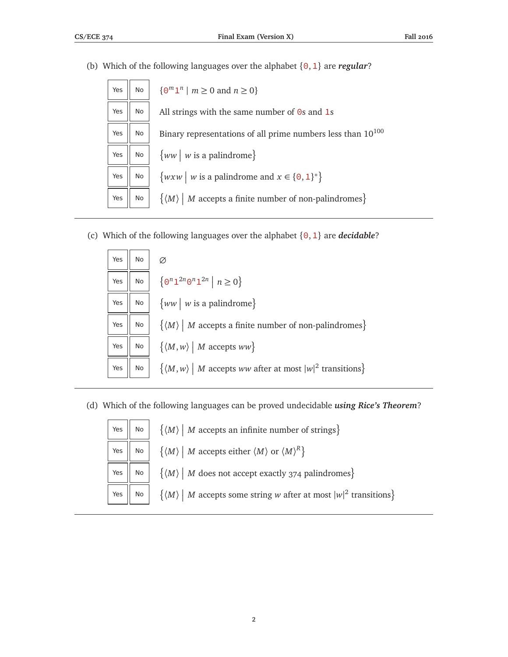(b) Which of the following languages over the alphabet {0,1} are *regular*?

| Yes | <b>No</b> | $\{ \Theta^m \mathbf{1}^n \mid m \geq 0 \text{ and } n \geq 0 \}$                   |
|-----|-----------|-------------------------------------------------------------------------------------|
| Yes | No        | All strings with the same number of $\theta$ s and $\theta$ s                       |
| Yes | <b>No</b> | Binary representations of all prime numbers less than $10^{100}$                    |
| Yes | No        | $\{ww \mid w \text{ is a palindrome}\}\$                                            |
| Yes | No        | $\{w x w \mid w \text{ is a palindrome and } x \in \{0, 1\}^*\}$                    |
| Yes | <b>No</b> | $\{ \langle M \rangle \mid M \text{ accepts a finite number of non-palindromes} \}$ |

(c) Which of the following languages over the alphabet {0,1} are *decidable*?

| Yes | No |                                                                                                        |
|-----|----|--------------------------------------------------------------------------------------------------------|
| Yes |    | No $\{ \Theta^n 1^{2n} \Theta^n 1^{2n} \mid n \geq 0 \}$                                               |
| Yes |    | No $\left\{ ww\, \,w$ is a palindrome}                                                                 |
| Yes |    | No $\left \left\langle \langle M \rangle \right $ <i>M</i> accepts a finite number of non-palindromes} |
| Yes |    | No $\left\{ \langle M, w \rangle \mid M \text{ accepts } ww \right\}$                                  |
| Yes | No | $\left \frac{1}{2}(M,w)\right $ <i>M</i> accepts ww after at most $ w ^2$ transitions }                |

(d) Which of the following languages can be proved undecidable *using Rice's Theorem*?

|  | $\Big\vert$ Yes $\Big\vert \Big\vert$ No $\Big\vert$ $\Big\{ \langle M \rangle \Big\vert M$ accepts an infinite number of strings}                              |
|--|-----------------------------------------------------------------------------------------------------------------------------------------------------------------|
|  | $\Big\vert$ Yes $\Big\vert\Big\vert$ No $\Big\vert$ $\Big\{ \langle M \rangle \Big\vert$ $M$ accepts either $\langle M \rangle$ or $\langle M \rangle^R \Big\}$ |
|  | $\Big\vert$ Yes $\Big\vert\Big\vert$ No $\Big\vert$ $\Big\{ \langle M \rangle \Big\vert$ $M$ does not accept exactly 374 palindromes}                           |
|  | $\Big\vert$ Yes $\Big\vert\Big\vert$ No $\Big\vert$ $\Big\{ \langle M \rangle \Big\vert$ $M$ accepts some string w after at most $\vert w \vert^2$ transitions} |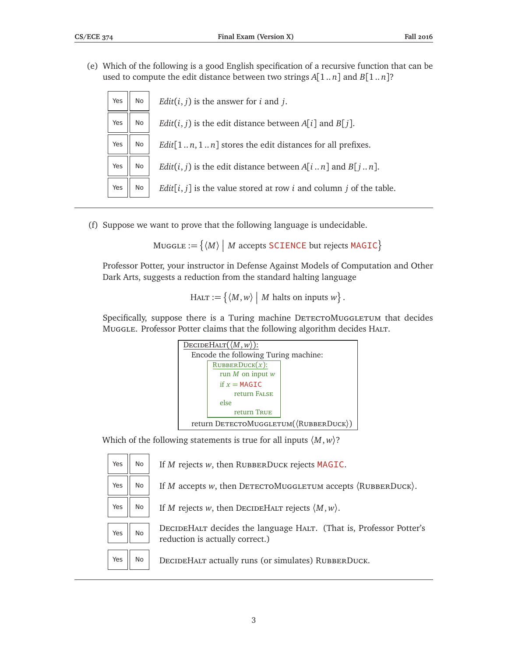(e) Which of the following is a good English specification of a recursive function that can be used to compute the edit distance between two strings *A*[1 .. *n*] and *B*[1 .. *n*]?

| Yes | <b>No</b> | <i>Edit</i> ( $i$ , $j$ ) is the answer for $i$ and $j$ .                              |
|-----|-----------|----------------------------------------------------------------------------------------|
| Yes | No        | <i>Edit</i> ( <i>i</i> , <i>j</i> ) is the edit distance between $A[i]$ and $B[i]$ .   |
| Yes | <b>No</b> | $Edit[1n,1n]$ stores the edit distances for all prefixes.                              |
| Yes | No        | <i>Edit</i> ( <i>i</i> , <i>j</i> ) is the edit distance between $A[in]$ and $B[jn]$ . |
| Yes | No        | $Edit[i, j]$ is the value stored at row <i>i</i> and column <i>j</i> of the table.     |

(f) Suppose we want to prove that the following language is undecidable.

```
\mathsf{M}\mathsf{u}\mathsf{g}\mathsf{d}\mathsf{E}:=\big\{\langle M\rangle\ \big|\ M\text{ accepts SCIENCE but rejects } \mathsf{M}\mathsf{AGIC}\big\}
```
Professor Potter, your instructor in Defense Against Models of Computation and Other Dark Arts, suggests a reduction from the standard halting language

$$
HALT := \{ \langle M, w \rangle \mid M \text{ halts on inputs } w \}.
$$

Specifically, suppose there is a Turing machine DETECTOMUGGLETUM that decides Muggle. Professor Potter claims that the following algorithm decides HALT.



Which of the following statements is true for all inputs  $\langle M, w \rangle$ ?

| Yes | No | If M rejects w, then RUBBERDUCK rejects MAGIC.                                                        |
|-----|----|-------------------------------------------------------------------------------------------------------|
| Yes | No | If $M$ accepts $w$ , then DETECTOMUGGLETUM accepts $\langle \text{RUBBERDuck}} \rangle$ .             |
| Yes | No | If M rejects w, then DECIDEHALT rejects $\langle M, w \rangle$ .                                      |
| Yes | No | DECIDEHALT decides the language HALT. (That is, Professor Potter's<br>reduction is actually correct.) |
| Yes | No | DECIDEHALT actually runs (or simulates) RUBBERDUCK.                                                   |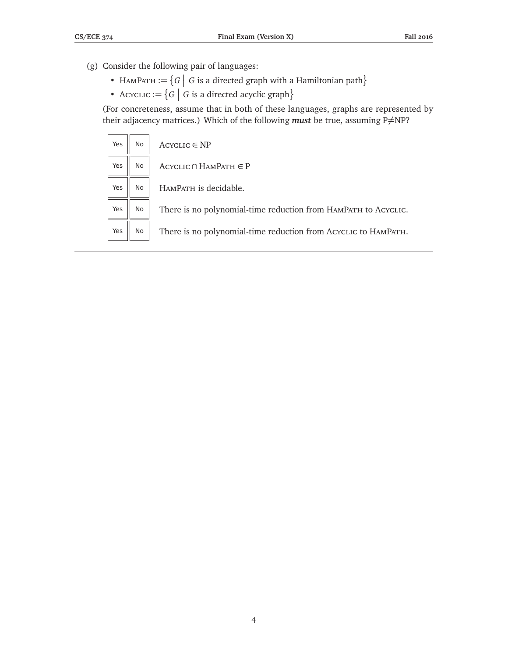(g) Consider the following pair of languages:

- HAMPATH :=  $\{G \mid G$  is a directed graph with a Hamiltonian path $\}$
- Acyclic  $:= \{ G \mid G$  is a directed acyclic graph $\}$

(For concreteness, assume that in both of these languages, graphs are represented by their adjacency matrices.) Which of the following *must* be true, assuming  $P\neq NP$ ?

| Yes | No | $AccvCLIC \in NP$                                              |
|-----|----|----------------------------------------------------------------|
| Yes | No | ACYCLIC $\cap$ HAMPATH $\in$ P                                 |
| Yes | No | HAMPATH is decidable.                                          |
| Yes | No | There is no polynomial-time reduction from HAMPATH to ACYCLIC. |
| Yes | No | There is no polynomial-time reduction from Acyclic to HAMPATH. |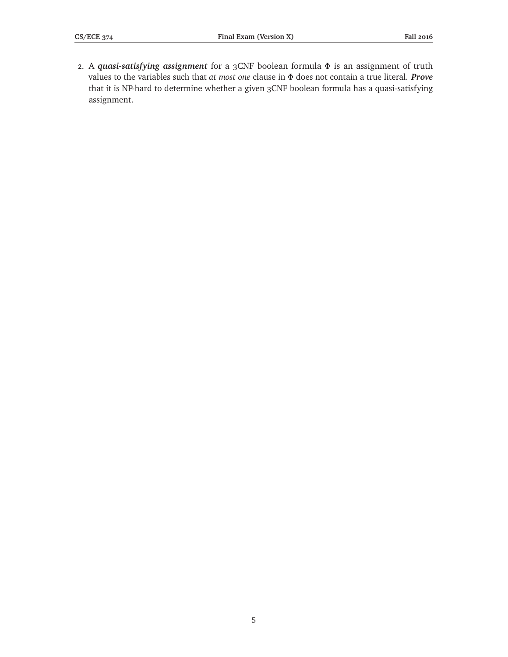2. A *quasi-satisfying assignment* for a 3CNF boolean formula *Φ* is an assignment of truth values to the variables such that *at most one* clause in *Φ* does not contain a true literal. *Prove* that it is NP-hard to determine whether a given 3CNF boolean formula has a quasi-satisfying assignment.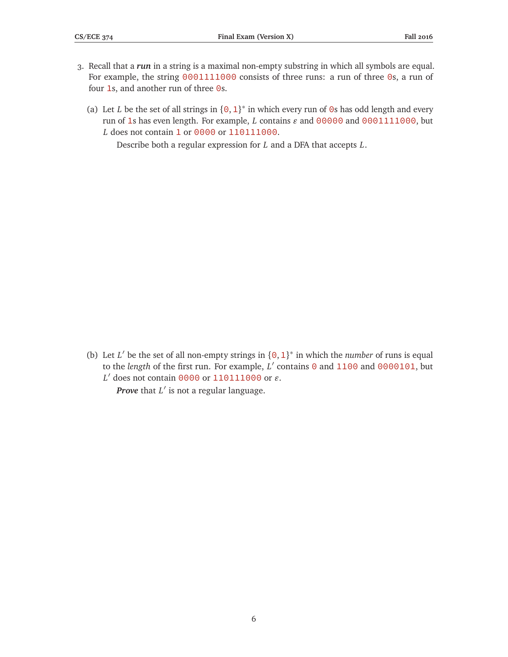- 3. Recall that a *run* in a string is a maximal non-empty substring in which all symbols are equal. For example, the string 0001111000 consists of three runs: a run of three 0s, a run of four 1s, and another run of three 0s.
	- (a) Let *L* be the set of all strings in  $\{0, 1\}^*$  in which every run of 0s has odd length and every run of 1s has even length. For example, *L* contains  $\varepsilon$  and 00000 and 0001111000, but *L* does not contain **1** or 0000 or 110111000.

Describe both a regular expression for *L* and a DFA that accepts *L*.

(b) Let  $L'$  be the set of all non-empty strings in  $\{0, 1\}^*$  in which the *number* of runs is equal to the *length* of the first run. For example,  $L'$  contains 0 and 1100 and 0000101, but  $L'$  does not contain 0000 or 110111000 or  $\varepsilon$ .

**Prove** that L<sup>'</sup> is not a regular language.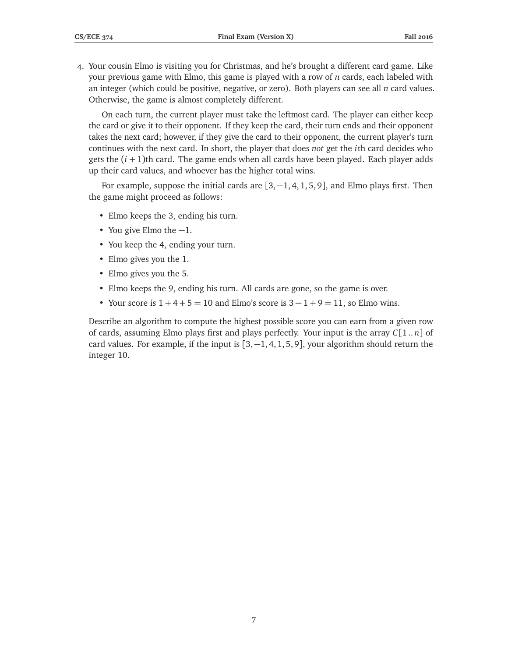4. Your cousin Elmo is visiting you for Christmas, and he's brought a different card game. Like your previous game with Elmo, this game is played with a row of *n* cards, each labeled with an integer (which could be positive, negative, or zero). Both players can see all *n* card values. Otherwise, the game is almost completely different.

On each turn, the current player must take the leftmost card. The player can either keep the card or give it to their opponent. If they keep the card, their turn ends and their opponent takes the next card; however, if they give the card to their opponent, the current player's turn continues with the next card. In short, the player that does *not* get the *i*th card decides who gets the  $(i + 1)$ th card. The game ends when all cards have been played. Each player adds up their card values, and whoever has the higher total wins.

For example, suppose the initial cards are  $[3, -1, 4, 1, 5, 9]$ , and Elmo plays first. Then the game might proceed as follows:

- Elmo keeps the 3, ending his turn.
- You give Elmo the  $-1$ .
- You keep the 4, ending your turn.
- Elmo gives you the 1.
- Elmo gives you the 5.
- Elmo keeps the 9, ending his turn. All cards are gone, so the game is over.
- Your score is  $1 + 4 + 5 = 10$  and Elmo's score is  $3 1 + 9 = 11$ , so Elmo wins.

Describe an algorithm to compute the highest possible score you can earn from a given row of cards, assuming Elmo plays first and plays perfectly. Your input is the array *C*[1 .. *n*] of card values. For example, if the input is  $[3, -1, 4, 1, 5, 9]$ , your algorithm should return the integer 10.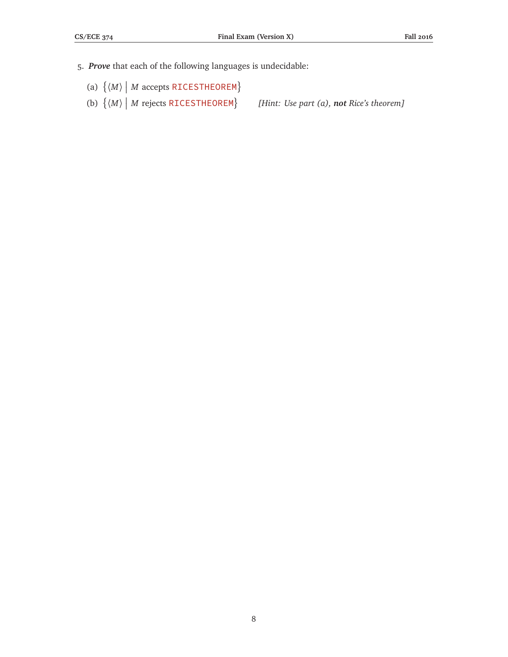- 5. *Prove* that each of the following languages is undecidable:
	- (a)  $\{M\}$  *M* accepts RICESTHEOREM}
	- (b)  $\{M\}$  *M* rejects RICESTHEOREM }

*[Hint: Use part (a), not Rice's theorem]*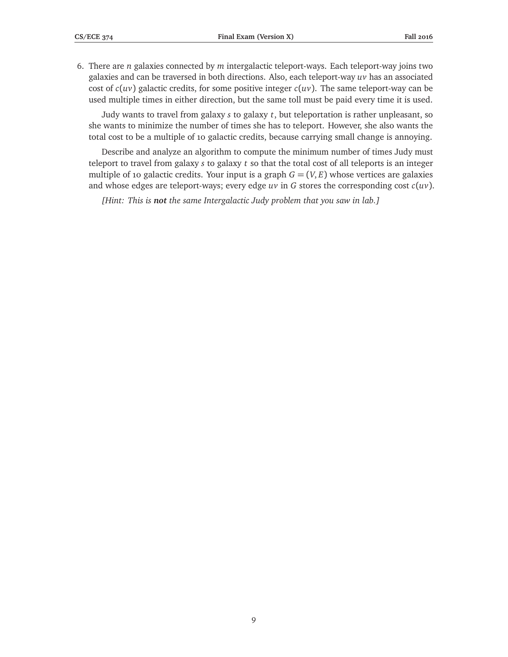6. There are *n* galaxies connected by *m* intergalactic teleport-ways. Each teleport-way joins two galaxies and can be traversed in both directions. Also, each teleport-way *uv* has an associated cost of  $c(uv)$  galactic credits, for some positive integer  $c(uv)$ . The same teleport-way can be used multiple times in either direction, but the same toll must be paid every time it is used.

Judy wants to travel from galaxy *s* to galaxy *t*, but teleportation is rather unpleasant, so she wants to minimize the number of times she has to teleport. However, she also wants the total cost to be a multiple of 10 galactic credits, because carrying small change is annoying.

Describe and analyze an algorithm to compute the minimum number of times Judy must teleport to travel from galaxy *s* to galaxy *t* so that the total cost of all teleports is an integer multiple of 10 galactic credits. Your input is a graph  $G = (V, E)$  whose vertices are galaxies and whose edges are teleport-ways; every edge *uv* in *G* stores the corresponding cost *c*(*uv*).

*[Hint: This is not the same Intergalactic Judy problem that you saw in lab.]*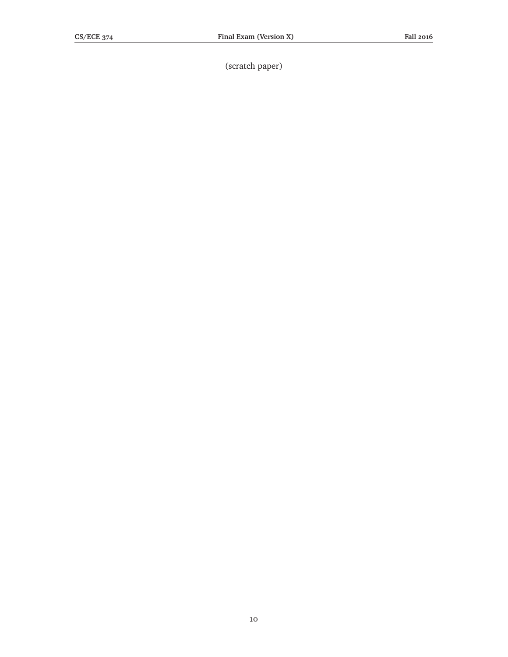(scratch paper)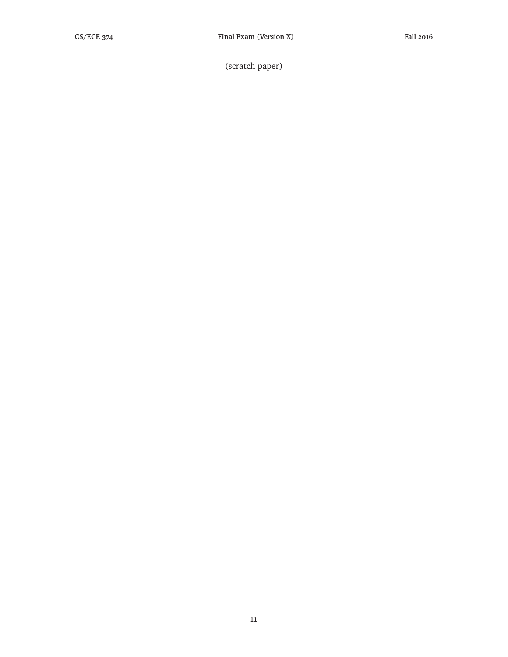(scratch paper)